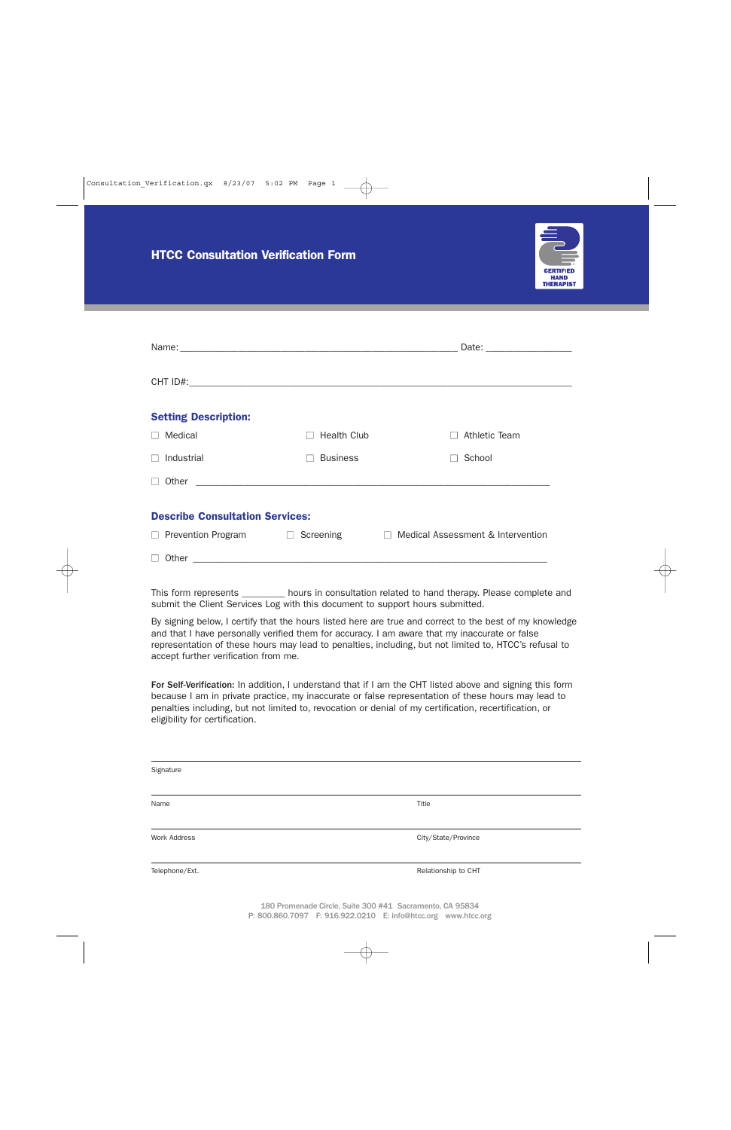

| <b>Setting Description:</b>            |                     |                                                   |
|----------------------------------------|---------------------|---------------------------------------------------|
| Medical                                | <b>Health Club</b>  | Athletic Team                                     |
| Industrial                             | <b>Business</b>     | School                                            |
|                                        |                     |                                                   |
| <b>Describe Consultation Services:</b> |                     |                                                   |
| $\Box$ Prevention Program              | Screening<br>$\Box$ | Medical Assessment & Intervention<br>$\mathbf{1}$ |
|                                        |                     |                                                   |

This form represents \_\_\_\_\_\_\_\_\_ hours in consultation related to hand therapy. Please complete and submit the Client Services Log with this document to support hours submitted.

By signing below, I certify that the hours listed here are true and correct to the best of my knowledge and that I have personally verified them for accuracy. I am aware that my inaccurate or false representation of these hours may lead to penalties, including, but not limited to, HTCC's refusal to accept further verification from me.

For Self-Verification: In addition, I understand that if I am the CHT listed above and signing this form because I am in private practice, my inaccurate or false representation of these hours may lead to penalties including, but not limited to, revocation or denial of my certification, recertification, or eligibility for certification.

| Signature           |                     |
|---------------------|---------------------|
| Name                | Title               |
| <b>Work Address</b> | City/State/Province |
| Telephone/Ext.      | Relationship to CHT |